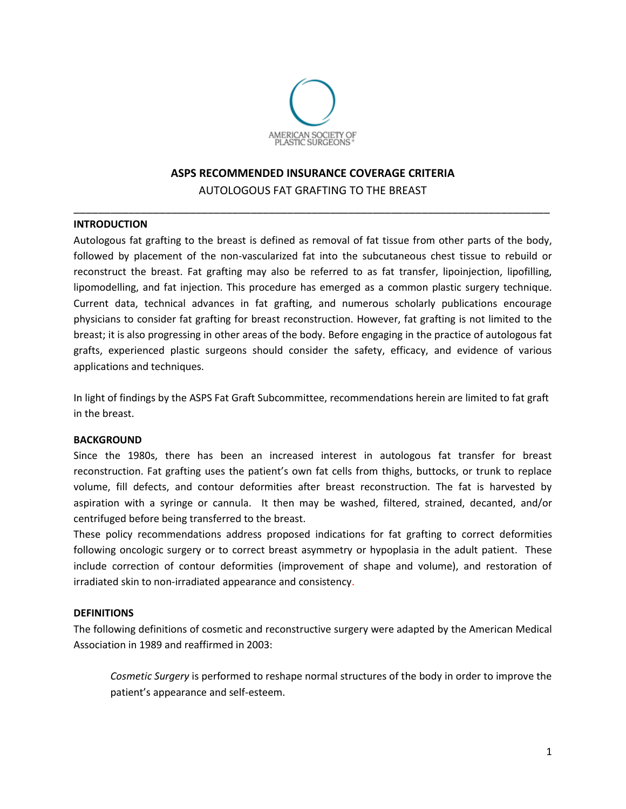

# **ASPS RECOMMENDED INSURANCE COVERAGE CRITERIA** AUTOLOGOUS FAT GRAFTING TO THE BREAST

\_\_\_\_\_\_\_\_\_\_\_\_\_\_\_\_\_\_\_\_\_\_\_\_\_\_\_\_\_\_\_\_\_\_\_\_\_\_\_\_\_\_\_\_\_\_\_\_\_\_\_\_\_\_\_\_\_\_\_\_\_\_\_\_\_\_\_\_\_\_\_\_\_\_\_\_\_\_

### **INTRODUCTION**

Autologous fat grafting to the breast is defined as removal of fat tissue from other parts of the body, followed by placement of the non-vascularized fat into the subcutaneous chest tissue to rebuild or reconstruct the breast. Fat grafting may also be referred to as fat transfer, lipoinjection, lipofilling, lipomodelling, and fat injection. This procedure has emerged as a common plastic surgery technique. Current data, technical advances in fat grafting, and numerous scholarly publications encourage physicians to consider fat grafting for breast reconstruction. However, fat grafting is not limited to the breast; it is also progressing in other areas of the body. Before engaging in the practice of autologous fat grafts, experienced plastic surgeons should consider the safety, efficacy, and evidence of various applications and techniques.

In light of findings by the ASPS Fat Graft Subcommittee, recommendations herein are limited to fat graft in the breast.

#### **BACKGROUND**

Since the 1980s, there has been an increased interest in autologous fat transfer for breast reconstruction. Fat grafting uses the patient's own fat cells from thighs, buttocks, or trunk to replace volume, fill defects, and contour deformities after breast reconstruction. The fat is harvested by aspiration with a syringe or cannula. It then may be washed, filtered, strained, decanted, and/or centrifuged before being transferred to the breast.

These policy recommendations address proposed indications for fat grafting to correct deformities following oncologic surgery or to correct breast asymmetry or hypoplasia in the adult patient. These include correction of contour deformities (improvement of shape and volume), and restoration of irradiated skin to non-irradiated appearance and consistency.

#### **DEFINITIONS**

The following definitions of cosmetic and reconstructive surgery were adapted by the American Medical Association in 1989 and reaffirmed in 2003:

*Cosmetic Surgery* is performed to reshape normal structures of the body in order to improve the patient's appearance and self-esteem.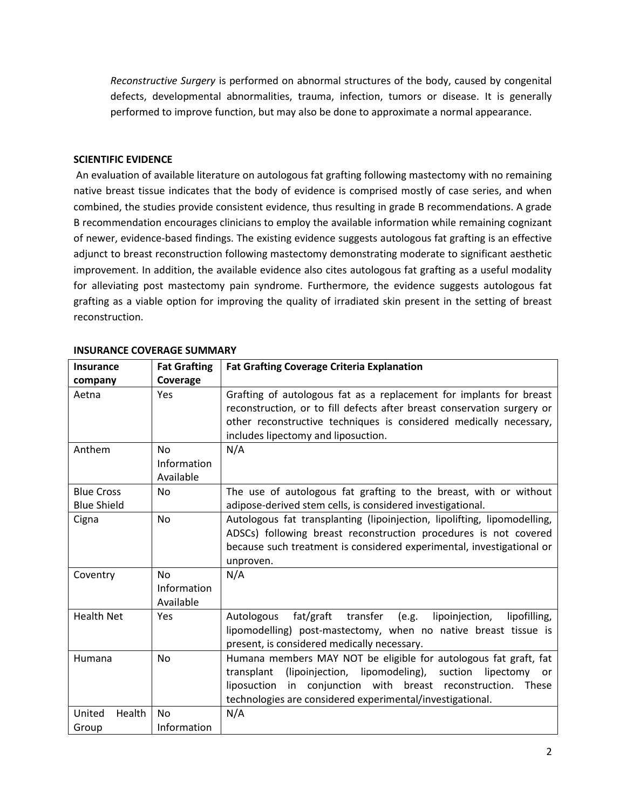*Reconstructive Surgery* is performed on abnormal structures of the body, caused by congenital defects, developmental abnormalities, trauma, infection, tumors or disease. It is generally performed to improve function, but may also be done to approximate a normal appearance.

## **SCIENTIFIC EVIDENCE**

An evaluation of available literature on autologous fat grafting following mastectomy with no remaining native breast tissue indicates that the body of evidence is comprised mostly of case series, and when combined, the studies provide consistent evidence, thus resulting in grade B recommendations. A grade B recommendation encourages clinicians to employ the available information while remaining cognizant of newer, evidence-based findings. The existing evidence suggests autologous fat grafting is an effective adjunct to breast reconstruction following mastectomy demonstrating moderate to significant aesthetic improvement. In addition, the available evidence also cites autologous fat grafting as a useful modality for alleviating post mastectomy pain syndrome. Furthermore, the evidence suggests autologous fat grafting as a viable option for improving the quality of irradiated skin present in the setting of breast reconstruction.

| Insurance                               | <b>Fat Grafting</b>                   | <b>Fat Grafting Coverage Criteria Explanation</b>                                                                                                                                                                                                                              |  |  |
|-----------------------------------------|---------------------------------------|--------------------------------------------------------------------------------------------------------------------------------------------------------------------------------------------------------------------------------------------------------------------------------|--|--|
| company                                 | Coverage                              |                                                                                                                                                                                                                                                                                |  |  |
| Aetna                                   | Yes                                   | Grafting of autologous fat as a replacement for implants for breast<br>reconstruction, or to fill defects after breast conservation surgery or<br>other reconstructive techniques is considered medically necessary,<br>includes lipectomy and liposuction.                    |  |  |
| Anthem                                  | No<br>Information<br>Available        | N/A                                                                                                                                                                                                                                                                            |  |  |
| <b>Blue Cross</b><br><b>Blue Shield</b> | <b>No</b>                             | The use of autologous fat grafting to the breast, with or without<br>adipose-derived stem cells, is considered investigational.                                                                                                                                                |  |  |
| Cigna                                   | <b>No</b>                             | Autologous fat transplanting (lipoinjection, lipolifting, lipomodelling,<br>ADSCs) following breast reconstruction procedures is not covered<br>because such treatment is considered experimental, investigational or<br>unproven.                                             |  |  |
| Coventry                                | <b>No</b><br>Information<br>Available | N/A                                                                                                                                                                                                                                                                            |  |  |
| <b>Health Net</b>                       | Yes                                   | fat/graft transfer<br>lipoinjection,<br>lipofilling,<br>Autologous<br>(e.g.<br>lipomodelling) post-mastectomy, when no native breast tissue is<br>present, is considered medically necessary.                                                                                  |  |  |
| Humana                                  | <b>No</b>                             | Humana members MAY NOT be eligible for autologous fat graft, fat<br>(lipoinjection, lipomodeling), suction<br>lipectomy<br>transplant<br>or<br>liposuction<br>conjunction with breast reconstruction. These<br>in<br>technologies are considered experimental/investigational. |  |  |
| Health<br>United                        | <b>No</b>                             | N/A                                                                                                                                                                                                                                                                            |  |  |
| Group                                   | Information                           |                                                                                                                                                                                                                                                                                |  |  |

### **INSURANCE COVERAGE SUMMARY**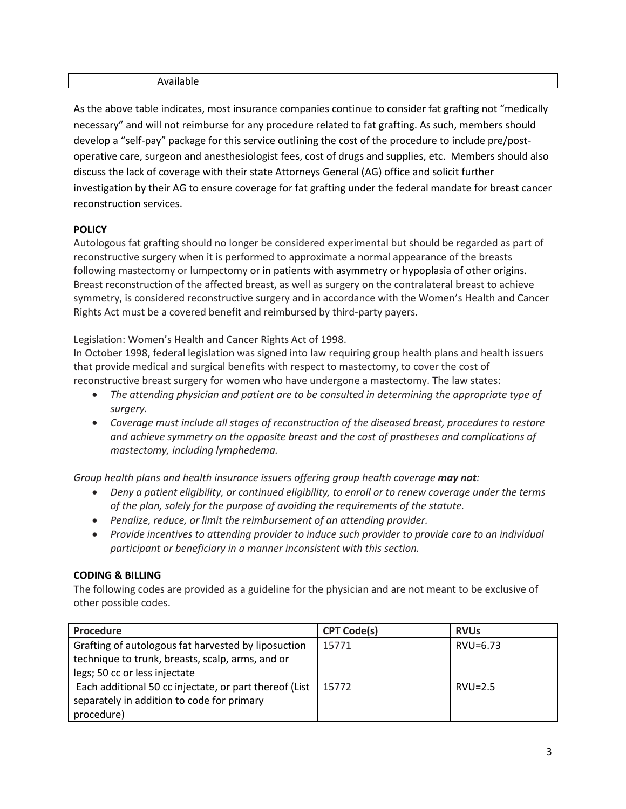|--|--|

As the above table indicates, most insurance companies continue to consider fat grafting not "medically necessary" and will not reimburse for any procedure related to fat grafting. As such, members should develop a "self-pay" package for this service outlining the cost of the procedure to include pre/postoperative care, surgeon and anesthesiologist fees, cost of drugs and supplies, etc. Members should also discuss the lack of coverage with their state Attorneys General (AG) office and solicit further investigation by their AG to ensure coverage for fat grafting under the federal mandate for breast cancer reconstruction services.

# **POLICY**

Autologous fat grafting should no longer be considered experimental but should be regarded as part of reconstructive surgery when it is performed to approximate a normal appearance of the breasts following mastectomy or lumpectomy or in patients with asymmetry or hypoplasia of other origins. Breast reconstruction of the affected breast, as well as surgery on the contralateral breast to achieve symmetry, is considered reconstructive surgery and in accordance with the Women's Health and Cancer Rights Act must be a covered benefit and reimbursed by third-party payers.

Legislation: Women's Health and Cancer Rights Act of 1998.

In October 1998, federal legislation was signed into law requiring group health plans and health issuers that provide medical and surgical benefits with respect to mastectomy, to cover the cost of reconstructive breast surgery for women who have undergone a mastectomy. The law states:

- *The attending physician and patient are to be consulted in determining the appropriate type of surgery.*
- *Coverage must include all stages of reconstruction of the diseased breast, procedures to restore and achieve symmetry on the opposite breast and the cost of prostheses and complications of mastectomy, including lymphedema.*

*Group health plans and health insurance issuers offering group health coverage may not:*

- *Deny a patient eligibility, or continued eligibility, to enroll or to renew coverage under the terms of the plan, solely for the purpose of avoiding the requirements of the statute.*
- *Penalize, reduce, or limit the reimbursement of an attending provider.*
- *Provide incentives to attending provider to induce such provider to provide care to an individual participant or beneficiary in a manner inconsistent with this section.*

## **CODING & BILLING**

The following codes are provided as a guideline for the physician and are not meant to be exclusive of other possible codes.

| Procedure                                              | <b>CPT Code(s)</b> | <b>RVUs</b> |
|--------------------------------------------------------|--------------------|-------------|
| Grafting of autologous fat harvested by liposuction    | 15771              | RVU=6.73    |
| technique to trunk, breasts, scalp, arms, and or       |                    |             |
| legs; 50 cc or less injectate                          |                    |             |
| Each additional 50 cc injectate, or part thereof (List | 15772              | $RVU=2.5$   |
| separately in addition to code for primary             |                    |             |
| procedure)                                             |                    |             |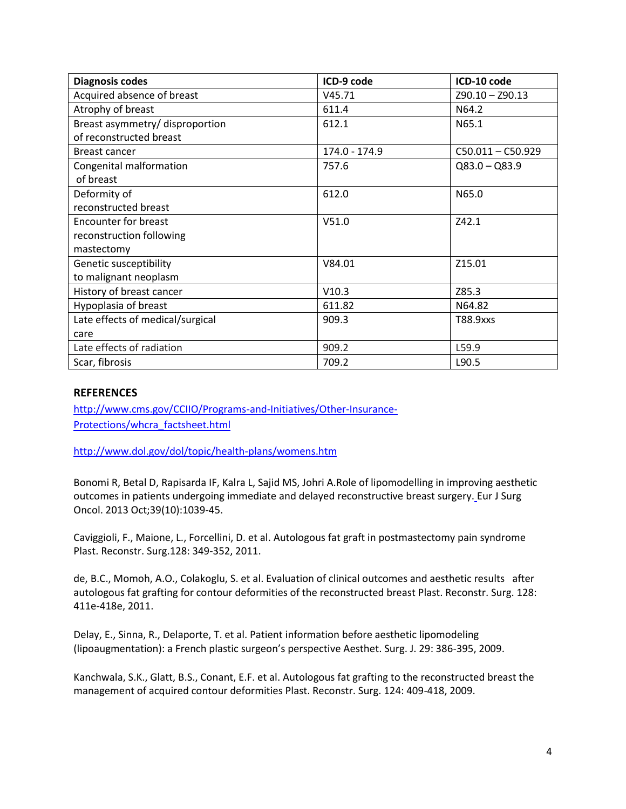| <b>Diagnosis codes</b>           | ICD-9 code    | ICD-10 code         |
|----------------------------------|---------------|---------------------|
| Acquired absence of breast       | V45.71        | $Z90.10 - Z90.13$   |
| Atrophy of breast                | 611.4         | N64.2               |
| Breast asymmetry/ disproportion  | 612.1         | N65.1               |
| of reconstructed breast          |               |                     |
| Breast cancer                    | 174.0 - 174.9 | $C50.011 - C50.929$ |
| Congenital malformation          | 757.6         | $Q83.0 - Q83.9$     |
| of breast                        |               |                     |
| Deformity of                     | 612.0         | N65.0               |
| reconstructed breast             |               |                     |
| Encounter for breast             | V51.0         | Z42.1               |
| reconstruction following         |               |                     |
| mastectomy                       |               |                     |
| Genetic susceptibility           | V84.01        | Z15.01              |
| to malignant neoplasm            |               |                     |
| History of breast cancer         | V10.3         | Z85.3               |
| Hypoplasia of breast             | 611.82        | N64.82              |
| Late effects of medical/surgical | 909.3         | T88.9xxs            |
| care                             |               |                     |
| Late effects of radiation        | 909.2         | L59.9               |
| Scar, fibrosis                   | 709.2         | L90.5               |

### **REFERENCES**

[http://www.cms.gov/CCIIO/Programs-and-Initiatives/Other-Insurance-](http://www.cms.gov/CCIIO/Programs-and-Initiatives/Other-Insurance-Protections/whcra_factsheet.html)[Protections/whcra\\_factsheet.html](http://www.cms.gov/CCIIO/Programs-and-Initiatives/Other-Insurance-Protections/whcra_factsheet.html)

<http://www.dol.gov/dol/topic/health-plans/womens.htm>

Bonomi R, Betal D, Rapisarda IF, Kalra L, Sajid MS, Johri A.Role of lipomodelling in improving aesthetic outcomes in patients undergoing immediate and delayed reconstructive breast surgery. Eur J Surg Oncol. 2013 Oct;39(10):1039-45.

Caviggioli, F., Maione, L., Forcellini, D. et al. Autologous fat graft in postmastectomy pain syndrome Plast. Reconstr. Surg.128: 349-352, 2011.

de, B.C., Momoh, A.O., Colakoglu, S. et al. Evaluation of clinical outcomes and aesthetic results after autologous fat grafting for contour deformities of the reconstructed breast Plast. Reconstr. Surg. 128: 411e-418e, 2011.

Delay, E., Sinna, R., Delaporte, T. et al. Patient information before aesthetic lipomodeling (lipoaugmentation): a French plastic surgeon's perspective Aesthet. Surg. J. 29: 386-395, 2009.

Kanchwala, S.K., Glatt, B.S., Conant, E.F. et al. Autologous fat grafting to the reconstructed breast the management of acquired contour deformities Plast. Reconstr. Surg. 124: 409-418, 2009.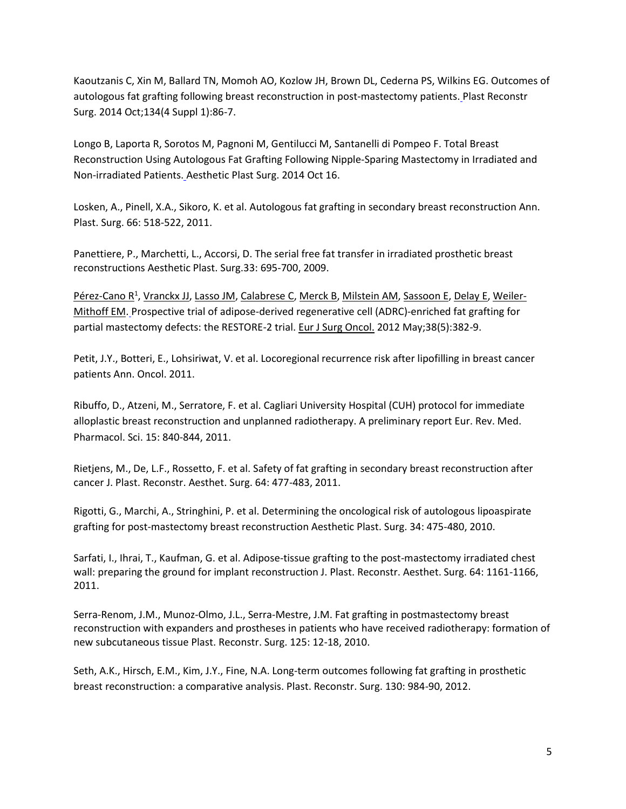Kaoutzanis C, Xin M, Ballard TN, Momoh AO, Kozlow JH, Brown DL, Cederna PS, Wilkins EG. Outcomes of autologous fat grafting following breast reconstruction in post-mastectomy patients. Plast Reconstr Surg. 2014 Oct;134(4 Suppl 1):86-7.

Longo B, Laporta R, Sorotos M, Pagnoni M, Gentilucci M, Santanelli di Pompeo F. Total Breast Reconstruction Using Autologous Fat Grafting Following Nipple-Sparing Mastectomy in Irradiated and Non-irradiated Patients. Aesthetic Plast Surg. 2014 Oct 16.

Losken, A., Pinell, X.A., Sikoro, K. et al. Autologous fat grafting in secondary breast reconstruction Ann. Plast. Surg. 66: 518-522, 2011.

Panettiere, P., Marchetti, L., Accorsi, D. The serial free fat transfer in irradiated prosthetic breast reconstructions Aesthetic Plast. Surg.33: 695-700, 2009.

[Pérez-Cano R](http://www.ncbi.nlm.nih.gov/pubmed?term=P%C3%A9rez-Cano%20R%5BAuthor%5D&cauthor=true&cauthor_uid=22425137)<sup>1</sup>, [Vranckx JJ,](http://www.ncbi.nlm.nih.gov/pubmed?term=Vranckx%20JJ%5BAuthor%5D&cauthor=true&cauthor_uid=22425137) [Lasso JM,](http://www.ncbi.nlm.nih.gov/pubmed?term=Lasso%20JM%5BAuthor%5D&cauthor=true&cauthor_uid=22425137) [Calabrese C,](http://www.ncbi.nlm.nih.gov/pubmed?term=Calabrese%20C%5BAuthor%5D&cauthor=true&cauthor_uid=22425137) [Merck B,](http://www.ncbi.nlm.nih.gov/pubmed?term=Merck%20B%5BAuthor%5D&cauthor=true&cauthor_uid=22425137) [Milstein AM,](http://www.ncbi.nlm.nih.gov/pubmed?term=Milstein%20AM%5BAuthor%5D&cauthor=true&cauthor_uid=22425137) [Sassoon E,](http://www.ncbi.nlm.nih.gov/pubmed?term=Sassoon%20E%5BAuthor%5D&cauthor=true&cauthor_uid=22425137) [Delay](http://www.ncbi.nlm.nih.gov/pubmed?term=Delay%20E%5BAuthor%5D&cauthor=true&cauthor_uid=22425137) E, [Weiler-](http://www.ncbi.nlm.nih.gov/pubmed?term=Weiler-Mithoff%20EM%5BAuthor%5D&cauthor=true&cauthor_uid=22425137)[Mithoff EM.](http://www.ncbi.nlm.nih.gov/pubmed?term=Weiler-Mithoff%20EM%5BAuthor%5D&cauthor=true&cauthor_uid=22425137) Prospective trial of adipose-derived regenerative cell (ADRC)-enriched fat grafting for partial mastectomy defects: the RESTORE-2 trial. [Eur J Surg Oncol.](http://www.ncbi.nlm.nih.gov/pubmed/22425137) 2012 May;38(5):382-9.

Petit, J.Y., Botteri, E., Lohsiriwat, V. et al. Locoregional recurrence risk after lipofilling in breast cancer patients Ann. Oncol. 2011.

Ribuffo, D., Atzeni, M., Serratore, F. et al. Cagliari University Hospital (CUH) protocol for immediate alloplastic breast reconstruction and unplanned radiotherapy. A preliminary report Eur. Rev. Med. Pharmacol. Sci. 15: 840-844, 2011.

Rietjens, M., De, L.F., Rossetto, F. et al. Safety of fat grafting in secondary breast reconstruction after cancer J. Plast. Reconstr. Aesthet. Surg. 64: 477-483, 2011.

Rigotti, G., Marchi, A., Stringhini, P. et al. Determining the oncological risk of autologous lipoaspirate grafting for post-mastectomy breast reconstruction Aesthetic Plast. Surg. 34: 475-480, 2010.

Sarfati, I., Ihrai, T., Kaufman, G. et al. Adipose-tissue grafting to the post-mastectomy irradiated chest wall: preparing the ground for implant reconstruction J. Plast. Reconstr. Aesthet. Surg. 64: 1161-1166, 2011.

Serra-Renom, J.M., Munoz-Olmo, J.L., Serra-Mestre, J.M. Fat grafting in postmastectomy breast reconstruction with expanders and prostheses in patients who have received radiotherapy: formation of new subcutaneous tissue Plast. Reconstr. Surg. 125: 12-18, 2010.

Seth, A.K., Hirsch, E.M., Kim, J.Y., Fine, N.A. Long-term outcomes following fat grafting in prosthetic breast reconstruction: a comparative analysis. Plast. Reconstr. Surg. 130: 984-90, 2012.